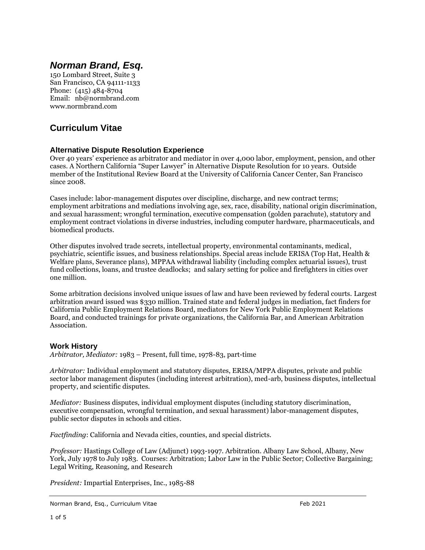# *Norman Brand, Esq.*

150 Lombard Street, Suite 3 San Francisco, CA 94111-1133 Phone: (415) 484-8704 Email: nb@normbrand.com www.normbrand.com

# **Curriculum Vitae**

# **Alternative Dispute Resolution Experience**

Over 40 years' experience as arbitrator and mediator in over 4,000 labor, employment, pension, and other cases. A Northern California "Super Lawyer" in Alternative Dispute Resolution for 10 years. Outside member of the Institutional Review Board at the University of California Cancer Center, San Francisco since 2008.

Cases include: labor-management disputes over discipline, discharge, and new contract terms; employment arbitrations and mediations involving age, sex, race, disability, national origin discrimination, and sexual harassment; wrongful termination, executive compensation (golden parachute), statutory and employment contract violations in diverse industries, including computer hardware, pharmaceuticals, and biomedical products.

Other disputes involved trade secrets, intellectual property, environmental contaminants, medical, psychiatric, scientific issues, and business relationships. Special areas include ERISA (Top Hat, Health & Welfare plans, Severance plans), MPPAA withdrawal liability (including complex actuarial issues), trust fund collections, loans, and trustee deadlocks; and salary setting for police and firefighters in cities over one million.

Some arbitration decisions involved unique issues of law and have been reviewed by federal courts. Largest arbitration award issued was \$330 million. Trained state and federal judges in mediation, fact finders for California Public Employment Relations Board, mediators for New York Public Employment Relations Board, and conducted trainings for private organizations, the California Bar, and American Arbitration Association.

# **Work History**

*Arbitrator, Mediator:* 1983 – Present, full time, 1978-83, part-time

*Arbitrator:* Individual employment and statutory disputes, ERISA/MPPA disputes, private and public sector labor management disputes (including interest arbitration), med-arb, business disputes, intellectual property, and scientific disputes.

*Mediator:* Business disputes, individual employment disputes (including statutory discrimination, executive compensation, wrongful termination, and sexual harassment) labor-management disputes, public sector disputes in schools and cities.

*Factfinding*: California and Nevada cities, counties, and special districts.

*Professor:* Hastings College of Law (Adjunct) 1993-1997. Arbitration. Albany Law School, Albany, New York, July 1978 to July 1983. Courses: Arbitration; Labor Law in the Public Sector; Collective Bargaining; Legal Writing, Reasoning, and Research

*President:* Impartial Enterprises, Inc., 1985-88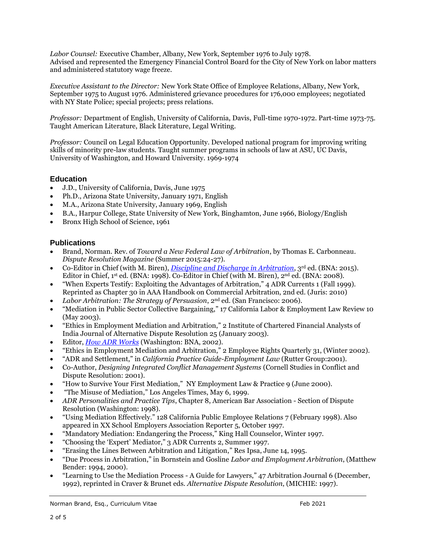*Labor Counsel:* Executive Chamber, Albany, New York, September 1976 to July 1978. Advised and represented the Emergency Financial Control Board for the City of New York on labor matters and administered statutory wage freeze.

*Executive Assistant to the Director:* New York State Office of Employee Relations, Albany, New York, September 1975 to August 1976. Administered grievance procedures for 176,000 employees; negotiated with NY State Police; special projects; press relations.

*Professor:* Department of English, University of California, Davis, Full-time 1970-1972. Part-time 1973-75. Taught American Literature, Black Literature, Legal Writing.

*Professor:* Council on Legal Education Opportunity. Developed national program for improving writing skills of minority pre-law students. Taught summer programs in schools of law at ASU, UC Davis, University of Washington, and Howard University. 1969-1974

# **Education**

- J.D., University of California, Davis, June 1975
- Ph.D., Arizona State University, January 1971, English
- M.A., Arizona State University, January 1969, English
- B.A., Harpur College, State University of New York, Binghamton, June 1966, Biology/English
- Bronx High School of Science, 1961

#### **Publications**

- Brand, Norman. Rev. of *Toward a New Federal Law of Arbitration*, by Thomas E. Carbonneau. *Dispute Resolution Magazine* (Summer 2015:24-27).
- Co-Editor in Chief (with M. Biren), *[Discipline and Discharge in Arbitration](http://storefront.bnabooks.com/cgi-bin/bnabooks.storefront/en/product/9232)*, 3rd ed. (BNA: 2015). Editor in Chief, 1st ed. (BNA: 1998). Co-Editor in Chief (with M. Biren), 2<sup>nd</sup> ed. (BNA: 2008).
- "When Experts Testify: Exploiting the Advantages of Arbitration," 4 ADR Currents 1 (Fall 1999). Reprinted as Chapter 30 in AAA Handbook on Commercial Arbitration, 2nd ed. (Juris: 2010)
- Labor Arbitration: The Strategy of Persuasion, 2<sup>nd</sup> ed. (San Francisco: 2006).
- "Mediation in Public Sector Collective Bargaining," 17 California Labor & Employment Law Review 10 (May 2003).
- "Ethics in Employment Mediation and Arbitration," 2 Institute of Chartered Financial Analysts of India Journal of Alternative Dispute Resolution 25 (January 2003).
- Editor, *[How ADR Works](http://storefront.bnabooks.com/cgi-bin/bnabooks.storefront/en/product/1253)* (Washington: BNA, 2002).
- "Ethics in Employment Mediation and Arbitration," 2 Employee Rights Quarterly 31, (Winter 2002).
- "ADR and Settlement," in *California Practice Guide-Employment Law* (Rutter Group:2001).
- Co-Author, *Designing Integrated Conflict Management Systems* (Cornell Studies in Conflict and Dispute Resolution: 2001).
- "How to Survive Your First Mediation," NY Employment Law & Practice 9 (June 2000).
- "The Misuse of Mediation," Los Angeles Times, May 6, 1999.
- *ADR Personalities and Practice Tips*, Chapter 8, American Bar Association Section of Dispute Resolution (Washington: 1998).
- "Using Mediation Effectively." 128 California Public Employee Relations 7 (February 1998). Also appeared in XX School Employers Association Reporter 5, October 1997.
- "Mandatory Mediation: Endangering the Process," King Hall Counselor, Winter 1997.
- "Choosing the 'Expert' Mediator," 3 ADR Currents 2, Summer 1997.
- "Erasing the Lines Between Arbitration and Litigation," Res Ipsa, June 14, 1995.
- "Due Process in Arbitration," in Bornstein and Gosline *Labor and Employment Arbitration*, (Matthew Bender: 1994, 2000).
- "Learning to Use the Mediation Process A Guide for Lawyers," 47 Arbitration Journal 6 (December, 1992), reprinted in Craver & Brunet eds. *Alternative Dispute Resolution*, (MICHIE: 1997).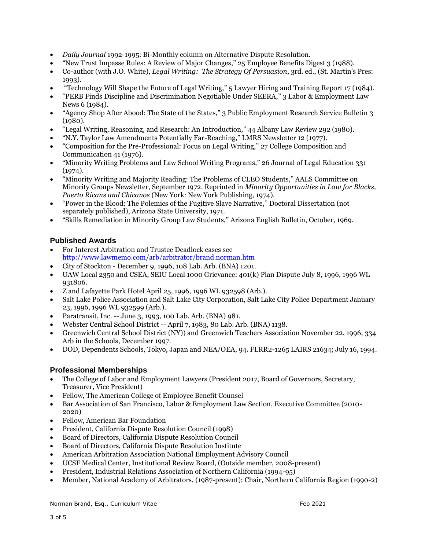- *Daily Journal* 1992-1995: Bi-Monthly column on Alternative Dispute Resolution.
- "New Trust Impasse Rules: A Review of Major Changes," 25 Employee Benefits Digest 3 (1988).
- Co-author (with J.O. White), *Legal Writing: The Strategy Of Persuasion*, 3rd. ed., (St. Martin's Pres: 1993).
- "Technology Will Shape the Future of Legal Writing," 5 Lawyer Hiring and Training Report 17 (1984).
- "PERB Finds Discipline and Discrimination Negotiable Under SEERA," 3 Labor & Employment Law News 6 (1984).
- "Agency Shop After Abood: The State of the States," 3 Public Employment Research Service Bulletin 3 (1980).
- "Legal Writing, Reasoning, and Research: An Introduction," 44 Albany Law Review 292 (1980).
- "N.Y. Taylor Law Amendments Potentially Far-Reaching," LMRS Newsletter 12 (1977).
- "Composition for the Pre-Professional: Focus on Legal Writing," 27 College Composition and Communication 41 (1976).
- "Minority Writing Problems and Law School Writing Programs," 26 Journal of Legal Education 331 (1974).
- "Minority Writing and Majority Reading: The Problems of CLEO Students," AALS Committee on Minority Groups Newsletter, September 1972. Reprinted in *Minority Opportunities in Law for Blacks, Puerto Ricans and Chicanos* (New York: New York Publishing, 1974).
- "Power in the Blood: The Polemics of the Fugitive Slave Narrative," Doctoral Dissertation (not separately published), Arizona State University, 1971.
- "Skills Remediation in Minority Group Law Students," Arizona English Bulletin, October, 1969.

# **Published Awards**

- For Interest Arbitration and Trustee Deadlock cases see <http://www.lawmemo.com/arb/arbitrator/brand.norman.htm>
- City of Stockton December 9, 1996, 108 Lab. Arb. (BNA) 1201.
- UAW Local 2350 and CSEA, SEIU Local 1000 Grievance: 401(k) Plan Dispute July 8, 1996, 1996 WL 931806.
- $\bullet$  Z and Lafayette Park Hotel April 25, 1996, 1996 WL 932598 (Arb.).
- Salt Lake Police Association and Salt Lake City Corporation, Salt Lake City Police Department January 23, 1996, 1996 WL 932599 (Arb.).
- Paratransit, Inc. -- June 3, 1993, 100 Lab. Arb. (BNA) 981.
- Webster Central School District -- April 7, 1983, 80 Lab. Arb. (BNA) 1138.
- Greenwich Central School District (NY)) and Greenwich Teachers Association November 22, 1996, 334 Arb in the Schools, December 1997.
- DOD, Dependents Schools, Tokyo, Japan and NEA/OEA, 94. FLRR2-1265 LAIRS 21634; July 16, 1994.

# **Professional Memberships**

- The College of Labor and Employment Lawyers (President 2017, Board of Governors, Secretary, Treasurer, Vice President)
- Fellow, The American College of Employee Benefit Counsel
- Bar Association of San Francisco, Labor & Employment Law Section, Executive Committee (2010-2020)
- Fellow, American Bar Foundation
- President, California Dispute Resolution Council (1998)
- Board of Directors, California Dispute Resolution Council
- Board of Directors, California Dispute Resolution Institute
- American Arbitration Association National Employment Advisory Council
- UCSF Medical Center, Institutional Review Board, (Outside member, 2008-present)
- President, Industrial Relations Association of Northern California (1994-95)
- Member, National Academy of Arbitrators, (1987-present); Chair, Northern California Region (1990-2)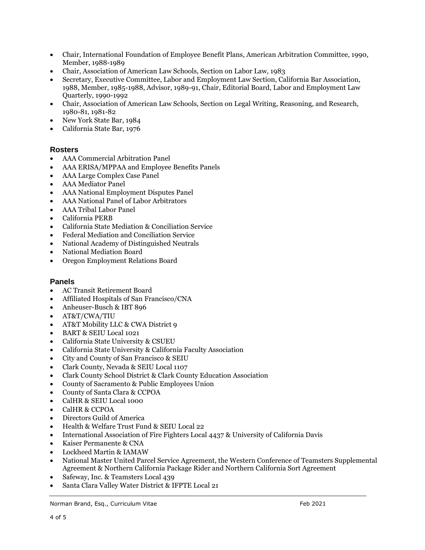- Chair, International Foundation of Employee Benefit Plans, American Arbitration Committee, 1990, Member, 1988-1989
- Chair, Association of American Law Schools, Section on Labor Law, 1983
- Secretary, Executive Committee, Labor and Employment Law Section, California Bar Association, 1988, Member, 1985-1988, Advisor, 1989-91, Chair, Editorial Board, Labor and Employment Law Quarterly, 1990-1992
- Chair, Association of American Law Schools, Section on Legal Writing, Reasoning, and Research, 1980-81, 1981-82
- New York State Bar, 1984
- California State Bar, 1976

#### **Rosters**

- AAA Commercial Arbitration Panel
- AAA ERISA/MPPAA and Employee Benefits Panels
- AAA Large Complex Case Panel
- AAA Mediator Panel
- AAA National Employment Disputes Panel
- AAA National Panel of Labor Arbitrators
- AAA Tribal Labor Panel
- California PERB
- California State Mediation & Conciliation Service
- Federal Mediation and Conciliation Service
- National Academy of Distinguished Neutrals
- National Mediation Board
- Oregon Employment Relations Board

#### **Panels**

- AC Transit Retirement Board
- Affiliated Hospitals of San Francisco/CNA
- Anheuser-Busch & IBT 896
- AT&T/CWA/TIU
- AT&T Mobility LLC & CWA District 9
- BART & SEIU Local 1021
- California State University & CSUEU
- California State University & California Faculty Association
- City and County of San Francisco & SEIU
- Clark County, Nevada & SEIU Local 1107
- Clark County School District & Clark County Education Association
- County of Sacramento & Public Employees Union
- County of Santa Clara & CCPOA
- CalHR & SEIU Local 1000
- CalHR & CCPOA
- Directors Guild of America
- Health & Welfare Trust Fund & SEIU Local 22
- International Association of Fire Fighters Local 4437 & University of California Davis
- Kaiser Permanente & CNA
- Lockheed Martin & IAMAW
- National Master United Parcel Service Agreement, the Western Conference of Teamsters Supplemental Agreement & Northern California Package Rider and Northern California Sort Agreement
- Safeway, Inc. & Teamsters Local 439
- Santa Clara Valley Water District & IFPTE Local 21